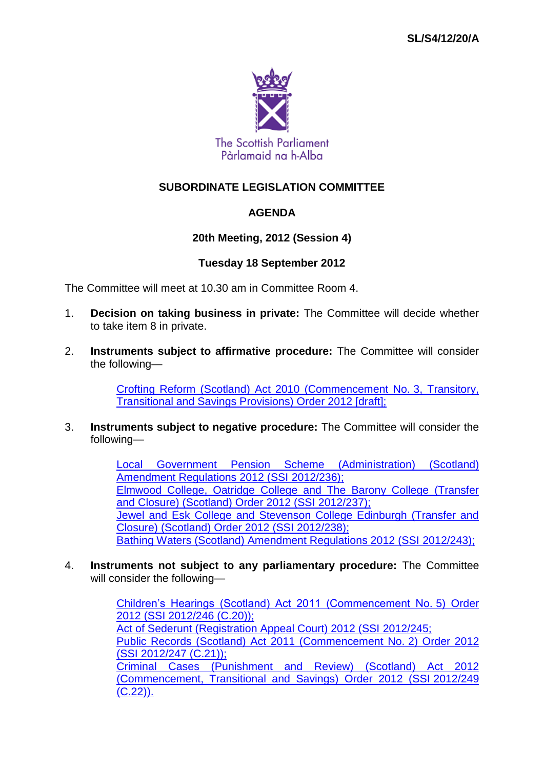

# **SUBORDINATE LEGISLATION COMMITTEE**

# **AGENDA**

## **20th Meeting, 2012 (Session 4)**

### **Tuesday 18 September 2012**

The Committee will meet at 10.30 am in Committee Room 4.

- 1. **Decision on taking business in private:** The Committee will decide whether to take item 8 in private.
- 2. **Instruments subject to affirmative procedure:** The Committee will consider the following—

[Crofting Reform \(Scotland\) Act 2010 \(Commencement No.](http://www.legislation.gov.uk/sdsi/2012/9780111017821/contents) 3, Transitory, [Transitional and Savings Provisions\) Order 2012 \[draft\];](http://www.legislation.gov.uk/sdsi/2012/9780111017821/contents)

3. **Instruments subject to negative procedure:** The Committee will consider the following—

> [Local Government Pension Scheme \(Administration\) \(Scotland\)](http://www.legislation.gov.uk/ssi/2012/236/contents/made)  [Amendment Regulations 2012 \(SSI](http://www.legislation.gov.uk/ssi/2012/236/contents/made) 2012/236); [Elmwood College, Oatridge College and The Barony College \(Transfer](http://www.legislation.gov.uk/ssi/2012/237/contents/made)  [and Closure\) \(Scotland\) Order 2012 \(SSI](http://www.legislation.gov.uk/ssi/2012/237/contents/made) 2012/237); [Jewel and Esk College and Stevenson College Edinburgh \(Transfer and](http://www.legislation.gov.uk/ssi/2012/238/contents/made)  [Closure\) \(Scotland\) Order 2012 \(SSI](http://www.legislation.gov.uk/ssi/2012/238/contents/made) 2012/238); [Bathing Waters \(Scotland\) Amendment Regulations 2012 \(SSI](http://www.legislation.gov.uk/ssi/2012/243/contents/made) 2012/243);

4. **Instruments not subject to any parliamentary procedure:** The Committee will consider the following—

> [Children's Hearings \(Scotland\) Act 2011 \(Commencement No.](http://www.legislation.gov.uk/ssi/2012/246/contents/made) 5) Order 2012 (SSI [2012/246 \(C.20\)\);](http://www.legislation.gov.uk/ssi/2012/246/contents/made) [Act of Sederunt \(Registration Appeal Court\) 2012 \(SSI](http://www.legislation.gov.uk/ssi/2012/245/contents/made) 2012/245; [Public Records \(Scotland\) Act 2011 \(Commencement No.](http://www.legislation.gov.uk/ssi/2012/247/contents/made) 2) Order 2012 (SSI [2012/247 \(C.21\)\);](http://www.legislation.gov.uk/ssi/2012/247/contents/made) [Criminal Cases \(Punishment and Review\) \(Scotland\) Act 2012](http://www.legislation.gov.uk/ssi/2012/249/contents/made)  [\(Commencement, Transitional and Savings\) Order 2012 \(SSI](http://www.legislation.gov.uk/ssi/2012/249/contents/made) 2012/249 [\(C.22\)\).](http://www.legislation.gov.uk/ssi/2012/249/contents/made)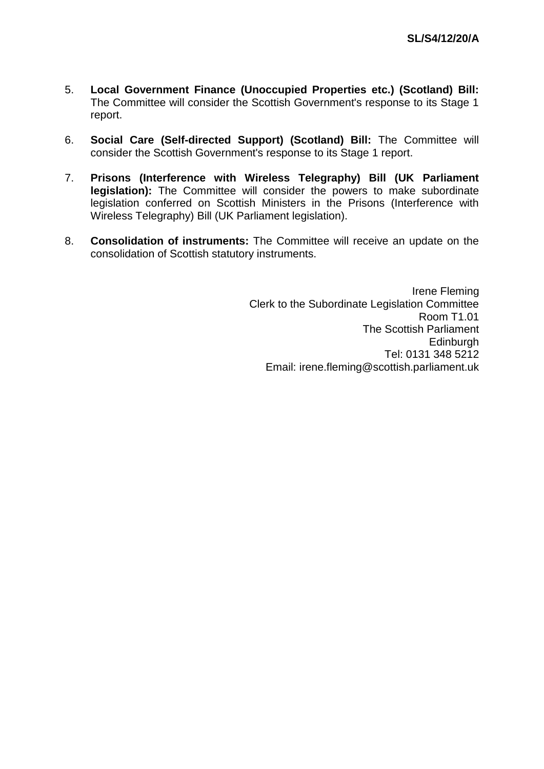- 5. **Local Government Finance (Unoccupied Properties etc.) (Scotland) Bill:**  The Committee will consider the Scottish Government's response to its Stage 1 report.
- 6. **Social Care (Self-directed Support) (Scotland) Bill:** The Committee will consider the Scottish Government's response to its Stage 1 report.
- 7. **Prisons (Interference with Wireless Telegraphy) Bill (UK Parliament legislation):** The Committee will consider the powers to make subordinate legislation conferred on Scottish Ministers in the Prisons (Interference with Wireless Telegraphy) Bill (UK Parliament legislation).
- 8. **Consolidation of instruments:** The Committee will receive an update on the consolidation of Scottish statutory instruments.

Irene Fleming Clerk to the Subordinate Legislation Committee Room T1.01 The Scottish Parliament **Edinburgh** Tel: 0131 348 5212 Email: irene.fleming@scottish.parliament.uk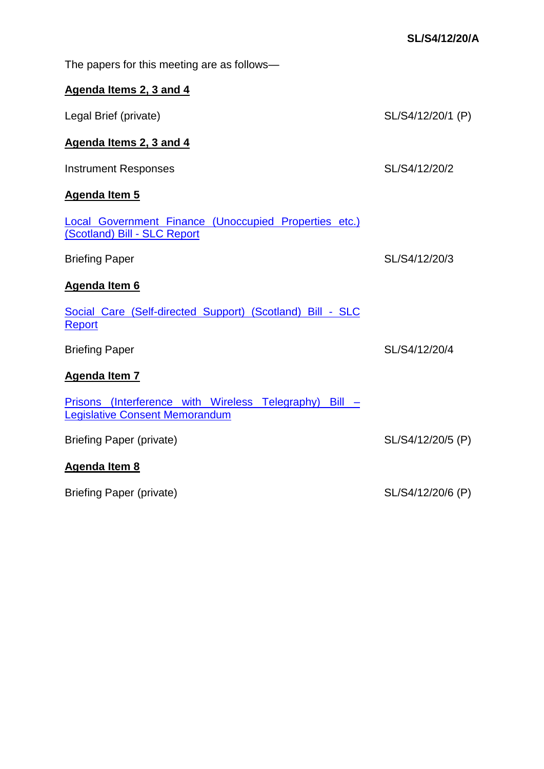| The papers for this meeting are as follows-                                                     |                   |
|-------------------------------------------------------------------------------------------------|-------------------|
| Agenda Items 2, 3 and 4                                                                         |                   |
| Legal Brief (private)                                                                           | SL/S4/12/20/1 (P) |
| Agenda Items 2, 3 and 4                                                                         |                   |
| <b>Instrument Responses</b>                                                                     | SL/S4/12/20/2     |
| <b>Agenda Item 5</b>                                                                            |                   |
| Local Government Finance (Unoccupied Properties etc.)<br>(Scotland) Bill - SLC Report           |                   |
| <b>Briefing Paper</b>                                                                           | SL/S4/12/20/3     |
| Agenda Item 6                                                                                   |                   |
| Social Care (Self-directed Support) (Scotland) Bill - SLC<br>Report                             |                   |
| <b>Briefing Paper</b>                                                                           | SL/S4/12/20/4     |
| Agenda Item 7                                                                                   |                   |
| Prisons (Interference with Wireless Telegraphy) Bill -<br><b>Legislative Consent Memorandum</b> |                   |
| <b>Briefing Paper (private)</b>                                                                 | SL/S4/12/20/5 (P) |
| <b>Agenda Item 8</b>                                                                            |                   |
| <b>Briefing Paper (private)</b>                                                                 | SL/S4/12/20/6 (P) |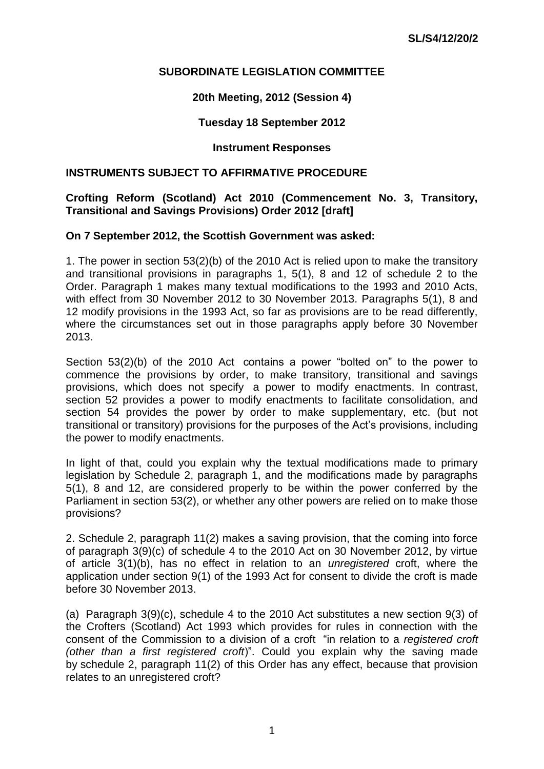## **SUBORDINATE LEGISLATION COMMITTEE**

## **20th Meeting, 2012 (Session 4)**

### **Tuesday 18 September 2012**

## **Instrument Responses**

#### **INSTRUMENTS SUBJECT TO AFFIRMATIVE PROCEDURE**

### **Crofting Reform (Scotland) Act 2010 (Commencement No. 3, Transitory, Transitional and Savings Provisions) Order 2012 [draft]**

#### **On 7 September 2012, the Scottish Government was asked:**

1. The power in section 53(2)(b) of the 2010 Act is relied upon to make the transitory and transitional provisions in paragraphs 1, 5(1), 8 and 12 of schedule 2 to the Order. Paragraph 1 makes many textual modifications to the 1993 and 2010 Acts, with effect from 30 November 2012 to 30 November 2013. Paragraphs 5(1), 8 and 12 modify provisions in the 1993 Act, so far as provisions are to be read differently, where the circumstances set out in those paragraphs apply before 30 November 2013.

Section  $53(2)(b)$  of the 2010 Act contains a power "bolted on" to the power to commence the provisions by order, to make transitory, transitional and savings provisions, which does not specify a power to modify enactments. In contrast, section 52 provides a power to modify enactments to facilitate consolidation, and section 54 provides the power by order to make supplementary, etc. (but not transitional or transitory) provisions for the purposes of the Act's provisions, including the power to modify enactments.

In light of that, could you explain why the textual modifications made to primary legislation by Schedule 2, paragraph 1, and the modifications made by paragraphs 5(1), 8 and 12, are considered properly to be within the power conferred by the Parliament in section 53(2), or whether any other powers are relied on to make those provisions?

2. Schedule 2, paragraph 11(2) makes a saving provision, that the coming into force of paragraph 3(9)(c) of schedule 4 to the 2010 Act on 30 November 2012, by virtue of article 3(1)(b), has no effect in relation to an *unregistered* croft, where the application under section 9(1) of the 1993 Act for consent to divide the croft is made before 30 November 2013.

(a) Paragraph 3(9)(c), schedule 4 to the 2010 Act substitutes a new section 9(3) of the Crofters (Scotland) Act 1993 which provides for rules in connection with the consent of the Commission to a division of a croft "in relation to a *registered croft (other than a first registered croft*)‖. Could you explain why the saving made by schedule 2, paragraph 11(2) of this Order has any effect, because that provision relates to an unregistered croft?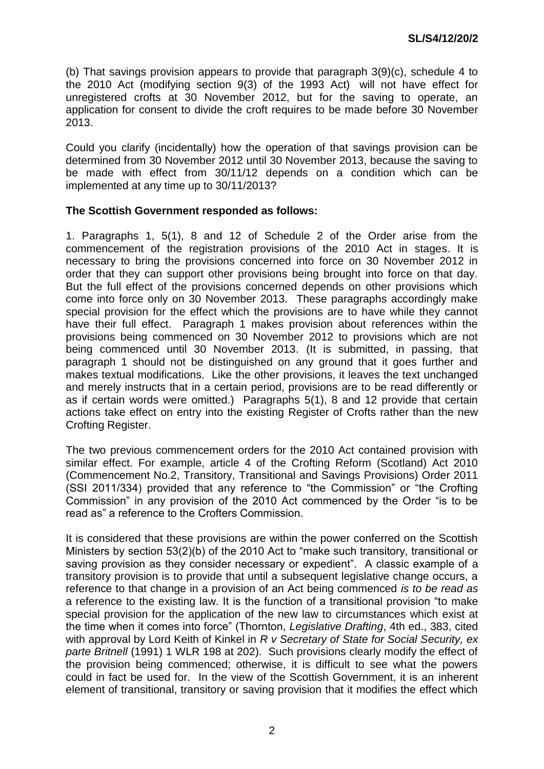(b) That savings provision appears to provide that paragraph 3(9)(c), schedule 4 to the 2010 Act (modifying section 9(3) of the 1993 Act) will not have effect for unregistered crofts at 30 November 2012, but for the saving to operate, an application for consent to divide the croft requires to be made before 30 November 2013.

Could you clarify (incidentally) how the operation of that savings provision can be determined from 30 November 2012 until 30 November 2013, because the saving to be made with effect from 30/11/12 depends on a condition which can be implemented at any time up to 30/11/2013?

## **The Scottish Government responded as follows:**

1. Paragraphs 1, 5(1), 8 and 12 of Schedule 2 of the Order arise from the commencement of the registration provisions of the 2010 Act in stages. It is necessary to bring the provisions concerned into force on 30 November 2012 in order that they can support other provisions being brought into force on that day. But the full effect of the provisions concerned depends on other provisions which come into force only on 30 November 2013. These paragraphs accordingly make special provision for the effect which the provisions are to have while they cannot have their full effect. Paragraph 1 makes provision about references within the provisions being commenced on 30 November 2012 to provisions which are not being commenced until 30 November 2013. (It is submitted, in passing, that paragraph 1 should not be distinguished on any ground that it goes further and makes textual modifications. Like the other provisions, it leaves the text unchanged and merely instructs that in a certain period, provisions are to be read differently or as if certain words were omitted.) Paragraphs 5(1), 8 and 12 provide that certain actions take effect on entry into the existing Register of Crofts rather than the new Crofting Register.

The two previous commencement orders for the 2010 Act contained provision with similar effect. For example, article 4 of the Crofting Reform (Scotland) Act 2010 (Commencement No.2, Transitory, Transitional and Savings Provisions) Order 2011 (SSI 2011/334) provided that any reference to "the Commission" or "the Crofting Commission" in any provision of the 2010 Act commenced by the Order "is to be read as" a reference to the Crofters Commission.

It is considered that these provisions are within the power conferred on the Scottish Ministers by section  $53(2)(b)$  of the 2010 Act to "make such transitory, transitional or saving provision as they consider necessary or expedient". A classic example of a transitory provision is to provide that until a subsequent legislative change occurs, a reference to that change in a provision of an Act being commenced *is to be read as* a reference to the existing law. It is the function of a transitional provision "to make special provision for the application of the new law to circumstances which exist at the time when it comes into force‖ (Thornton, *Legislative Drafting*, 4th ed., 383, cited with approval by Lord Keith of Kinkel in *R v Secretary of State for Social Security, ex parte Britnell* (1991) 1 WLR 198 at 202). Such provisions clearly modify the effect of the provision being commenced; otherwise, it is difficult to see what the powers could in fact be used for. In the view of the Scottish Government, it is an inherent element of transitional, transitory or saving provision that it modifies the effect which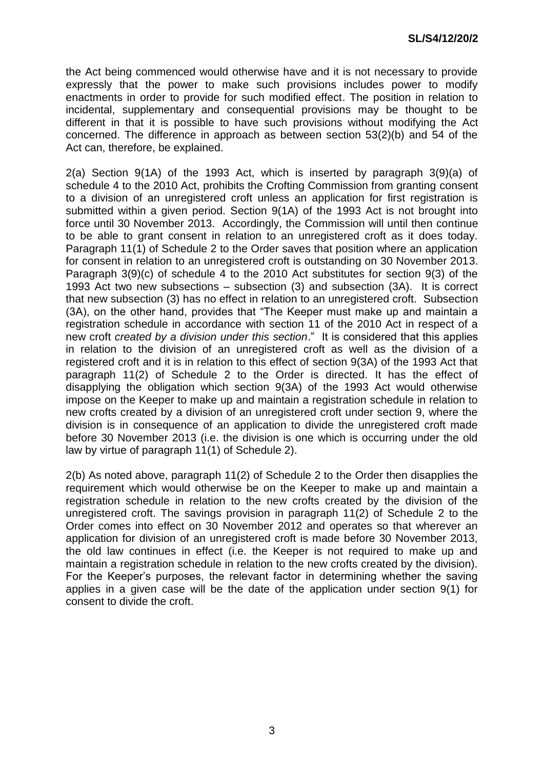the Act being commenced would otherwise have and it is not necessary to provide expressly that the power to make such provisions includes power to modify enactments in order to provide for such modified effect. The position in relation to incidental, supplementary and consequential provisions may be thought to be different in that it is possible to have such provisions without modifying the Act concerned. The difference in approach as between section 53(2)(b) and 54 of the Act can, therefore, be explained.

2(a) Section 9(1A) of the 1993 Act, which is inserted by paragraph 3(9)(a) of schedule 4 to the 2010 Act, prohibits the Crofting Commission from granting consent to a division of an unregistered croft unless an application for first registration is submitted within a given period. Section 9(1A) of the 1993 Act is not brought into force until 30 November 2013. Accordingly, the Commission will until then continue to be able to grant consent in relation to an unregistered croft as it does today. Paragraph 11(1) of Schedule 2 to the Order saves that position where an application for consent in relation to an unregistered croft is outstanding on 30 November 2013. Paragraph 3(9)(c) of schedule 4 to the 2010 Act substitutes for section 9(3) of the 1993 Act two new subsections – subsection (3) and subsection (3A). It is correct that new subsection (3) has no effect in relation to an unregistered croft. Subsection (3A), on the other hand, provides that "The Keeper must make up and maintain a registration schedule in accordance with section 11 of the 2010 Act in respect of a new croft *created by a division under this section*.‖ It is considered that this applies in relation to the division of an unregistered croft as well as the division of a registered croft and it is in relation to this effect of section 9(3A) of the 1993 Act that paragraph 11(2) of Schedule 2 to the Order is directed. It has the effect of disapplying the obligation which section 9(3A) of the 1993 Act would otherwise impose on the Keeper to make up and maintain a registration schedule in relation to new crofts created by a division of an unregistered croft under section 9, where the division is in consequence of an application to divide the unregistered croft made before 30 November 2013 (i.e. the division is one which is occurring under the old law by virtue of paragraph 11(1) of Schedule 2).

2(b) As noted above, paragraph 11(2) of Schedule 2 to the Order then disapplies the requirement which would otherwise be on the Keeper to make up and maintain a registration schedule in relation to the new crofts created by the division of the unregistered croft. The savings provision in paragraph 11(2) of Schedule 2 to the Order comes into effect on 30 November 2012 and operates so that wherever an application for division of an unregistered croft is made before 30 November 2013, the old law continues in effect (i.e. the Keeper is not required to make up and maintain a registration schedule in relation to the new crofts created by the division). For the Keeper's purposes, the relevant factor in determining whether the saving applies in a given case will be the date of the application under section 9(1) for consent to divide the croft.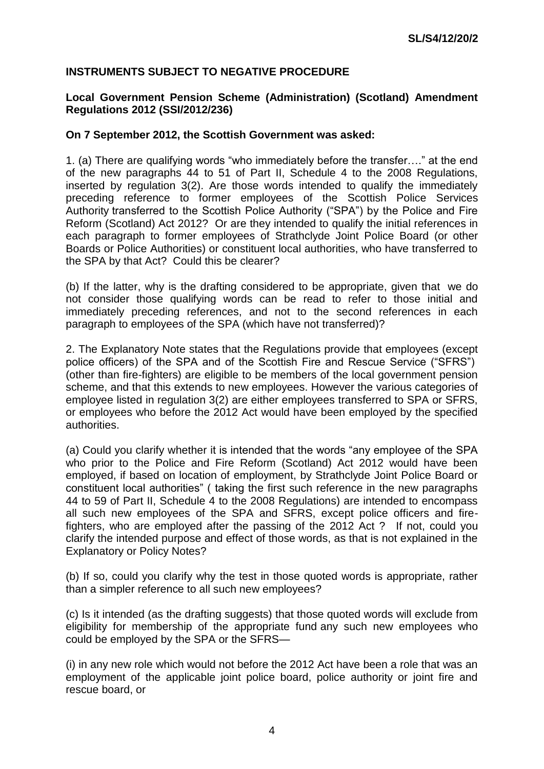# **INSTRUMENTS SUBJECT TO NEGATIVE PROCEDURE**

### **Local Government Pension Scheme (Administration) (Scotland) Amendment Regulations 2012 (SSI/2012/236)**

#### **On 7 September 2012, the Scottish Government was asked:**

1. (a) There are qualifying words "who immediately before the transfer...." at the end of the new paragraphs 44 to 51 of Part II, Schedule 4 to the 2008 Regulations, inserted by regulation 3(2). Are those words intended to qualify the immediately preceding reference to former employees of the Scottish Police Services Authority transferred to the Scottish Police Authority ("SPA") by the Police and Fire Reform (Scotland) Act 2012? Or are they intended to qualify the initial references in each paragraph to former employees of Strathclyde Joint Police Board (or other Boards or Police Authorities) or constituent local authorities, who have transferred to the SPA by that Act? Could this be clearer?

(b) If the latter, why is the drafting considered to be appropriate, given that we do not consider those qualifying words can be read to refer to those initial and immediately preceding references, and not to the second references in each paragraph to employees of the SPA (which have not transferred)?

2. The Explanatory Note states that the Regulations provide that employees (except police officers) of the SPA and of the Scottish Fire and Rescue Service ("SFRS") (other than fire-fighters) are eligible to be members of the local government pension scheme, and that this extends to new employees. However the various categories of employee listed in regulation 3(2) are either employees transferred to SPA or SFRS, or employees who before the 2012 Act would have been employed by the specified authorities.

(a) Could you clarify whether it is intended that the words "any employee of the SPA who prior to the Police and Fire Reform (Scotland) Act 2012 would have been employed, if based on location of employment, by Strathclyde Joint Police Board or constituent local authorities" (taking the first such reference in the new paragraphs 44 to 59 of Part II, Schedule 4 to the 2008 Regulations) are intended to encompass all such new employees of the SPA and SFRS, except police officers and firefighters, who are employed after the passing of the 2012 Act ? If not, could you clarify the intended purpose and effect of those words, as that is not explained in the Explanatory or Policy Notes?

(b) If so, could you clarify why the test in those quoted words is appropriate, rather than a simpler reference to all such new employees?

(c) Is it intended (as the drafting suggests) that those quoted words will exclude from eligibility for membership of the appropriate fund any such new employees who could be employed by the SPA or the SFRS—

(i) in any new role which would not before the 2012 Act have been a role that was an employment of the applicable joint police board, police authority or joint fire and rescue board, or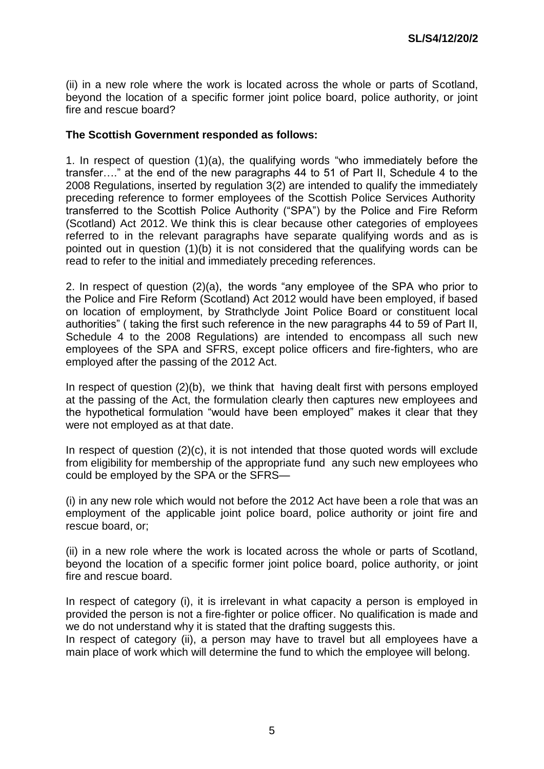(ii) in a new role where the work is located across the whole or parts of Scotland, beyond the location of a specific former joint police board, police authority, or joint fire and rescue board?

### **The Scottish Government responded as follows:**

1. In respect of question  $(1)(a)$ , the qualifying words "who immediately before the transfer….‖ at the end of the new paragraphs 44 to 51 of Part II, Schedule 4 to the 2008 Regulations, inserted by regulation 3(2) are intended to qualify the immediately preceding reference to former employees of the Scottish Police Services Authority transferred to the Scottish Police Authority ("SPA") by the Police and Fire Reform (Scotland) Act 2012. We think this is clear because other categories of employees referred to in the relevant paragraphs have separate qualifying words and as is pointed out in question (1)(b) it is not considered that the qualifying words can be read to refer to the initial and immediately preceding references.

2. In respect of question  $(2)(a)$ , the words "any employee of the SPA who prior to the Police and Fire Reform (Scotland) Act 2012 would have been employed, if based on location of employment, by Strathclyde Joint Police Board or constituent local authorities" (taking the first such reference in the new paragraphs 44 to 59 of Part II, Schedule 4 to the 2008 Regulations) are intended to encompass all such new employees of the SPA and SFRS, except police officers and fire-fighters, who are employed after the passing of the 2012 Act.

In respect of question (2)(b), we think that having dealt first with persons employed at the passing of the Act, the formulation clearly then captures new employees and the hypothetical formulation "would have been employed" makes it clear that they were not employed as at that date.

In respect of question (2)(c), it is not intended that those quoted words will exclude from eligibility for membership of the appropriate fund any such new employees who could be employed by the SPA or the SFRS—

(i) in any new role which would not before the 2012 Act have been a role that was an employment of the applicable joint police board, police authority or joint fire and rescue board, or;

(ii) in a new role where the work is located across the whole or parts of Scotland, beyond the location of a specific former joint police board, police authority, or joint fire and rescue board.

In respect of category (i), it is irrelevant in what capacity a person is employed in provided the person is not a fire-fighter or police officer. No qualification is made and we do not understand why it is stated that the drafting suggests this.

In respect of category (ii), a person may have to travel but all employees have a main place of work which will determine the fund to which the employee will belong.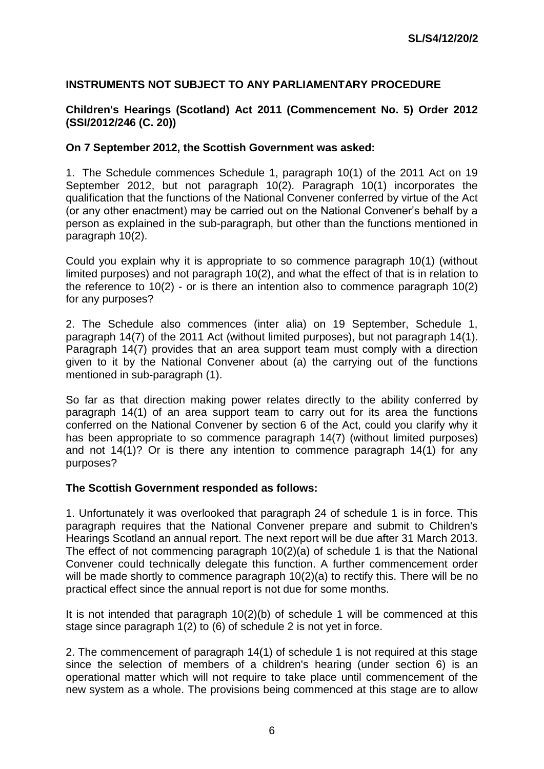# **INSTRUMENTS NOT SUBJECT TO ANY PARLIAMENTARY PROCEDURE**

### **Children's Hearings (Scotland) Act 2011 (Commencement No. 5) Order 2012 (SSI/2012/246 (C. 20))**

#### **On 7 September 2012, the Scottish Government was asked:**

1. The Schedule commences Schedule 1, paragraph 10(1) of the 2011 Act on 19 September 2012, but not paragraph 10(2). Paragraph 10(1) incorporates the qualification that the functions of the National Convener conferred by virtue of the Act (or any other enactment) may be carried out on the National Convener's behalf by a person as explained in the sub-paragraph, but other than the functions mentioned in paragraph 10(2).

Could you explain why it is appropriate to so commence paragraph 10(1) (without limited purposes) and not paragraph 10(2), and what the effect of that is in relation to the reference to 10(2) - or is there an intention also to commence paragraph 10(2) for any purposes?

2. The Schedule also commences (inter alia) on 19 September, Schedule 1, paragraph 14(7) of the 2011 Act (without limited purposes), but not paragraph 14(1). Paragraph 14(7) provides that an area support team must comply with a direction given to it by the National Convener about (a) the carrying out of the functions mentioned in sub-paragraph (1).

So far as that direction making power relates directly to the ability conferred by paragraph 14(1) of an area support team to carry out for its area the functions conferred on the National Convener by section 6 of the Act, could you clarify why it has been appropriate to so commence paragraph 14(7) (without limited purposes) and not 14(1)? Or is there any intention to commence paragraph 14(1) for any purposes?

#### **The Scottish Government responded as follows:**

1. Unfortunately it was overlooked that paragraph 24 of schedule 1 is in force. This paragraph requires that the National Convener prepare and submit to Children's Hearings Scotland an annual report. The next report will be due after 31 March 2013. The effect of not commencing paragraph 10(2)(a) of schedule 1 is that the National Convener could technically delegate this function. A further commencement order will be made shortly to commence paragraph 10(2)(a) to rectify this. There will be no practical effect since the annual report is not due for some months.

It is not intended that paragraph 10(2)(b) of schedule 1 will be commenced at this stage since paragraph 1(2) to (6) of schedule 2 is not yet in force.

2. The commencement of paragraph 14(1) of schedule 1 is not required at this stage since the selection of members of a children's hearing (under section 6) is an operational matter which will not require to take place until commencement of the new system as a whole. The provisions being commenced at this stage are to allow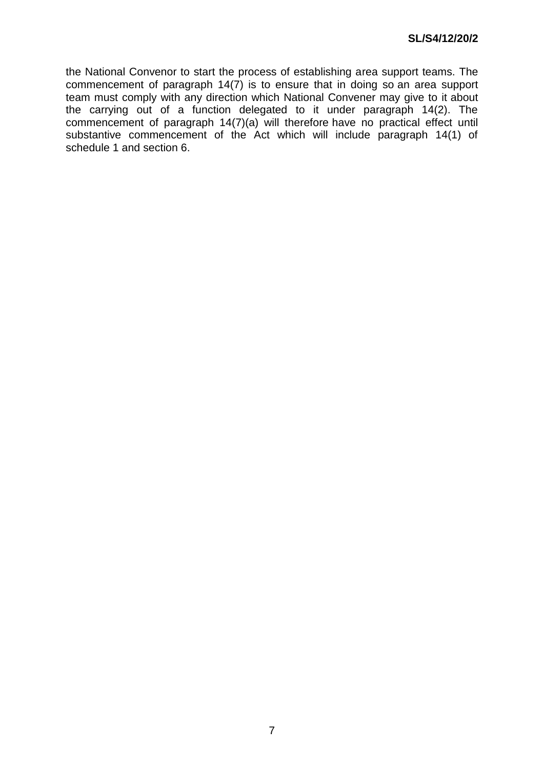the National Convenor to start the process of establishing area support teams. The commencement of paragraph 14(7) is to ensure that in doing so an area support team must comply with any direction which National Convener may give to it about the carrying out of a function delegated to it under paragraph 14(2). The commencement of paragraph 14(7)(a) will therefore have no practical effect until substantive commencement of the Act which will include paragraph 14(1) of schedule 1 and section 6.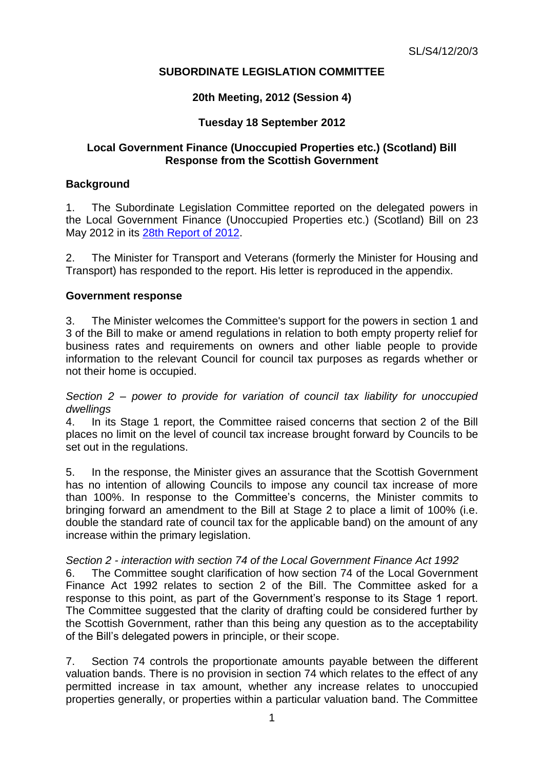# **SUBORDINATE LEGISLATION COMMITTEE**

## **20th Meeting, 2012 (Session 4)**

# **Tuesday 18 September 2012**

### **Local Government Finance (Unoccupied Properties etc.) (Scotland) Bill Response from the Scottish Government**

### **Background**

1. The Subordinate Legislation Committee reported on the delegated powers in the Local Government Finance (Unoccupied Properties etc.) (Scotland) Bill on 23 May 2012 in its [28th Report of 2012.](http://www.scottish.parliament.uk/parliamentarybusiness/CurrentCommittees/51145.aspx)

2. The Minister for Transport and Veterans (formerly the Minister for Housing and Transport) has responded to the report. His letter is reproduced in the appendix.

#### **Government response**

3. The Minister welcomes the Committee's support for the powers in section 1 and 3 of the Bill to make or amend regulations in relation to both empty property relief for business rates and requirements on owners and other liable people to provide information to the relevant Council for council tax purposes as regards whether or not their home is occupied.

*Section 2 – power to provide for variation of council tax liability for unoccupied dwellings*

4. In its Stage 1 report, the Committee raised concerns that section 2 of the Bill places no limit on the level of council tax increase brought forward by Councils to be set out in the regulations.

5. In the response, the Minister gives an assurance that the Scottish Government has no intention of allowing Councils to impose any council tax increase of more than 100%. In response to the Committee's concerns, the Minister commits to bringing forward an amendment to the Bill at Stage 2 to place a limit of 100% (i.e. double the standard rate of council tax for the applicable band) on the amount of any increase within the primary legislation.

#### *Section 2 - interaction with section 74 of the Local Government Finance Act 1992*

6. The Committee sought clarification of how section 74 of the Local Government Finance Act 1992 relates to section 2 of the Bill. The Committee asked for a response to this point, as part of the Government's response to its Stage 1 report. The Committee suggested that the clarity of drafting could be considered further by the Scottish Government, rather than this being any question as to the acceptability of the Bill's delegated powers in principle, or their scope.

7. Section 74 controls the proportionate amounts payable between the different valuation bands. There is no provision in section 74 which relates to the effect of any permitted increase in tax amount, whether any increase relates to unoccupied properties generally, or properties within a particular valuation band. The Committee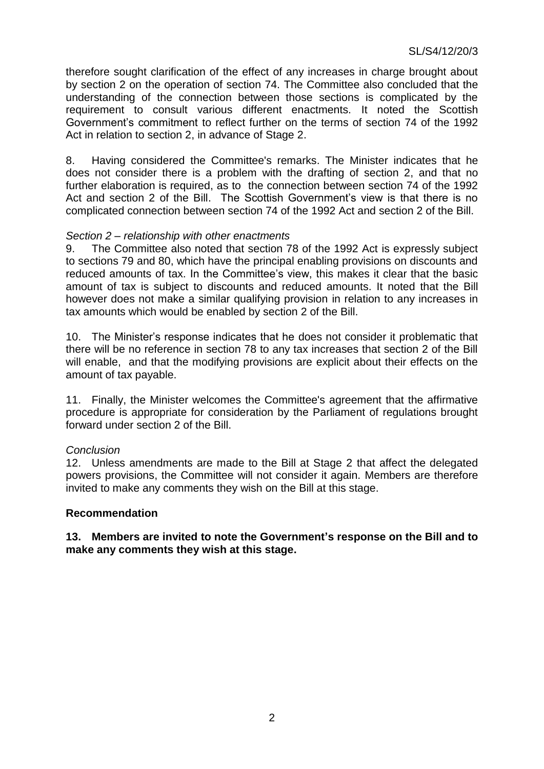therefore sought clarification of the effect of any increases in charge brought about by section 2 on the operation of section 74. The Committee also concluded that the understanding of the connection between those sections is complicated by the requirement to consult various different enactments. It noted the Scottish Government's commitment to reflect further on the terms of section 74 of the 1992 Act in relation to section 2, in advance of Stage 2.

8. Having considered the Committee's remarks. The Minister indicates that he does not consider there is a problem with the drafting of section 2, and that no further elaboration is required, as to the connection between section 74 of the 1992 Act and section 2 of the Bill. The Scottish Government's view is that there is no complicated connection between section 74 of the 1992 Act and section 2 of the Bill.

#### *Section 2 – relationship with other enactments*

9. The Committee also noted that section 78 of the 1992 Act is expressly subject to sections 79 and 80, which have the principal enabling provisions on discounts and reduced amounts of tax. In the Committee's view, this makes it clear that the basic amount of tax is subject to discounts and reduced amounts. It noted that the Bill however does not make a similar qualifying provision in relation to any increases in tax amounts which would be enabled by section 2 of the Bill.

10. The Minister's response indicates that he does not consider it problematic that there will be no reference in section 78 to any tax increases that section 2 of the Bill will enable, and that the modifying provisions are explicit about their effects on the amount of tax payable.

11. Finally, the Minister welcomes the Committee's agreement that the affirmative procedure is appropriate for consideration by the Parliament of regulations brought forward under section 2 of the Bill.

#### *Conclusion*

12. Unless amendments are made to the Bill at Stage 2 that affect the delegated powers provisions, the Committee will not consider it again. Members are therefore invited to make any comments they wish on the Bill at this stage.

#### **Recommendation**

**13. Members are invited to note the Government's response on the Bill and to make any comments they wish at this stage.**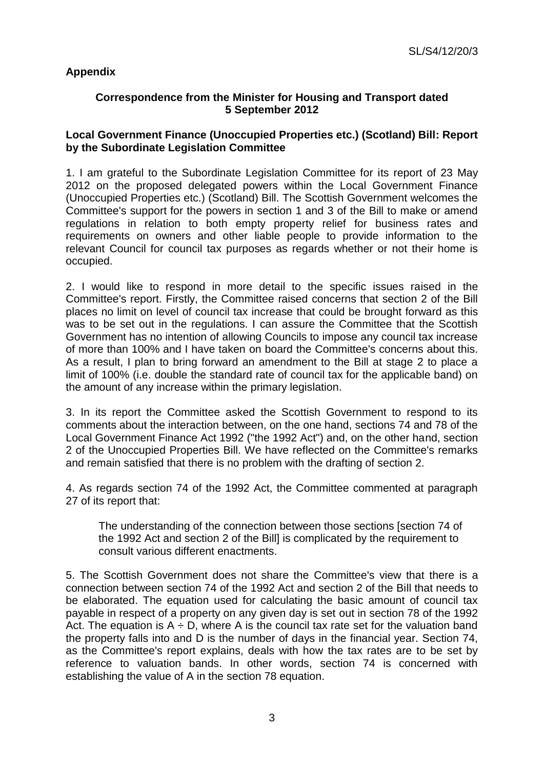# **Appendix**

## **Correspondence from the Minister for Housing and Transport dated 5 September 2012**

### **Local Government Finance (Unoccupied Properties etc.) (Scotland) Bill: Report by the Subordinate Legislation Committee**

1. I am grateful to the Subordinate Legislation Committee for its report of 23 May 2012 on the proposed delegated powers within the Local Government Finance (Unoccupied Properties etc.) (Scotland) Bill. The Scottish Government welcomes the Committee's support for the powers in section 1 and 3 of the Bill to make or amend regulations in relation to both empty property relief for business rates and requirements on owners and other liable people to provide information to the relevant Council for council tax purposes as regards whether or not their home is occupied.

2. I would like to respond in more detail to the specific issues raised in the Committee's report. Firstly, the Committee raised concerns that section 2 of the Bill places no limit on level of council tax increase that could be brought forward as this was to be set out in the regulations. I can assure the Committee that the Scottish Government has no intention of allowing Councils to impose any council tax increase of more than 100% and I have taken on board the Committee's concerns about this. As a result, I plan to bring forward an amendment to the Bill at stage 2 to place a limit of 100% (i.e. double the standard rate of council tax for the applicable band) on the amount of any increase within the primary legislation.

3. In its report the Committee asked the Scottish Government to respond to its comments about the interaction between, on the one hand, sections 74 and 78 of the Local Government Finance Act 1992 ("the 1992 Act") and, on the other hand, section 2 of the Unoccupied Properties Bill. We have reflected on the Committee's remarks and remain satisfied that there is no problem with the drafting of section 2.

4. As regards section 74 of the 1992 Act, the Committee commented at paragraph 27 of its report that:

The understanding of the connection between those sections [section 74 of the 1992 Act and section 2 of the Bill] is complicated by the requirement to consult various different enactments.

5. The Scottish Government does not share the Committee's view that there is a connection between section 74 of the 1992 Act and section 2 of the Bill that needs to be elaborated. The equation used for calculating the basic amount of council tax payable in respect of a property on any given day is set out in section 78 of the 1992 Act. The equation is  $A \div D$ , where A is the council tax rate set for the valuation band the property falls into and D is the number of days in the financial year. Section 74, as the Committee's report explains, deals with how the tax rates are to be set by reference to valuation bands. In other words, section 74 is concerned with establishing the value of A in the section 78 equation.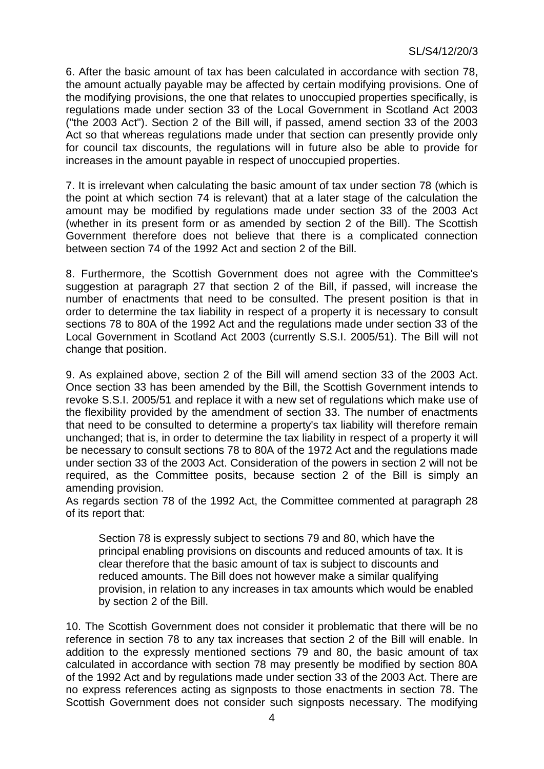6. After the basic amount of tax has been calculated in accordance with section 78, the amount actually payable may be affected by certain modifying provisions. One of the modifying provisions, the one that relates to unoccupied properties specifically, is regulations made under section 33 of the Local Government in Scotland Act 2003 ("the 2003 Act"). Section 2 of the Bill will, if passed, amend section 33 of the 2003 Act so that whereas regulations made under that section can presently provide only for council tax discounts, the regulations will in future also be able to provide for increases in the amount payable in respect of unoccupied properties.

7. It is irrelevant when calculating the basic amount of tax under section 78 (which is the point at which section 74 is relevant) that at a later stage of the calculation the amount may be modified by regulations made under section 33 of the 2003 Act (whether in its present form or as amended by section 2 of the Bill). The Scottish Government therefore does not believe that there is a complicated connection between section 74 of the 1992 Act and section 2 of the Bill.

8. Furthermore, the Scottish Government does not agree with the Committee's suggestion at paragraph 27 that section 2 of the Bill, if passed, will increase the number of enactments that need to be consulted. The present position is that in order to determine the tax liability in respect of a property it is necessary to consult sections 78 to 80A of the 1992 Act and the regulations made under section 33 of the Local Government in Scotland Act 2003 (currently S.S.I. 2005/51). The Bill will not change that position.

9. As explained above, section 2 of the Bill will amend section 33 of the 2003 Act. Once section 33 has been amended by the Bill, the Scottish Government intends to revoke S.S.I. 2005/51 and replace it with a new set of regulations which make use of the flexibility provided by the amendment of section 33. The number of enactments that need to be consulted to determine a property's tax liability will therefore remain unchanged; that is, in order to determine the tax liability in respect of a property it will be necessary to consult sections 78 to 80A of the 1972 Act and the regulations made under section 33 of the 2003 Act. Consideration of the powers in section 2 will not be required, as the Committee posits, because section 2 of the Bill is simply an amending provision.

As regards section 78 of the 1992 Act, the Committee commented at paragraph 28 of its report that:

Section 78 is expressly subject to sections 79 and 80, which have the principal enabling provisions on discounts and reduced amounts of tax. It is clear therefore that the basic amount of tax is subject to discounts and reduced amounts. The Bill does not however make a similar qualifying provision, in relation to any increases in tax amounts which would be enabled by section 2 of the Bill.

10. The Scottish Government does not consider it problematic that there will be no reference in section 78 to any tax increases that section 2 of the Bill will enable. In addition to the expressly mentioned sections 79 and 80, the basic amount of tax calculated in accordance with section 78 may presently be modified by section 80A of the 1992 Act and by regulations made under section 33 of the 2003 Act. There are no express references acting as signposts to those enactments in section 78. The Scottish Government does not consider such signposts necessary. The modifying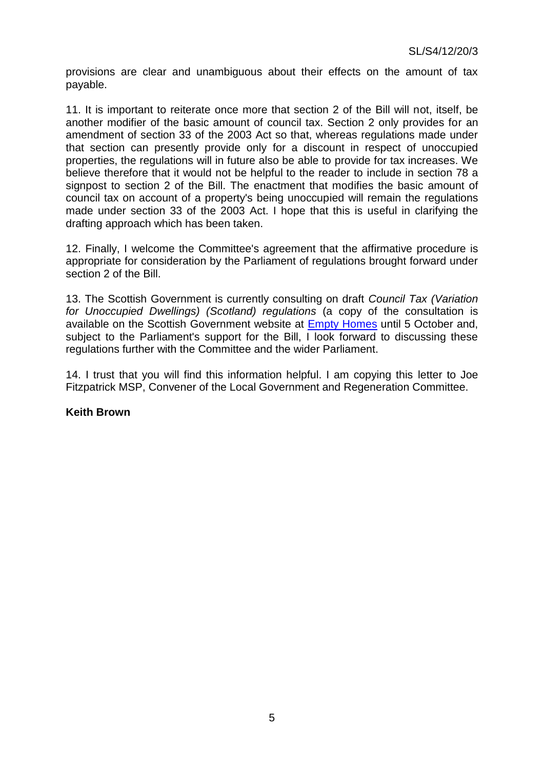provisions are clear and unambiguous about their effects on the amount of tax payable.

11. It is important to reiterate once more that section 2 of the Bill will not, itself, be another modifier of the basic amount of council tax. Section 2 only provides for an amendment of section 33 of the 2003 Act so that, whereas regulations made under that section can presently provide only for a discount in respect of unoccupied properties, the regulations will in future also be able to provide for tax increases. We believe therefore that it would not be helpful to the reader to include in section 78 a signpost to section 2 of the Bill. The enactment that modifies the basic amount of council tax on account of a property's being unoccupied will remain the regulations made under section 33 of the 2003 Act. I hope that this is useful in clarifying the drafting approach which has been taken.

12. Finally, I welcome the Committee's agreement that the affirmative procedure is appropriate for consideration by the Parliament of regulations brought forward under section 2 of the Bill.

13. The Scottish Government is currently consulting on draft *Council Tax (Variation for Unoccupied Dwellings) (Scotland) regulations* (a copy of the consultation is available on the Scottish Government website at [Empty Homes](http://www.scotland.gov.uk/Topics/Built-Environment/Housing/supply-demand/emptyhomes) until 5 October and, subject to the Parliament's support for the Bill. I look forward to discussing these regulations further with the Committee and the wider Parliament.

14. I trust that you will find this information helpful. I am copying this letter to Joe Fitzpatrick MSP, Convener of the Local Government and Regeneration Committee.

### **Keith Brown**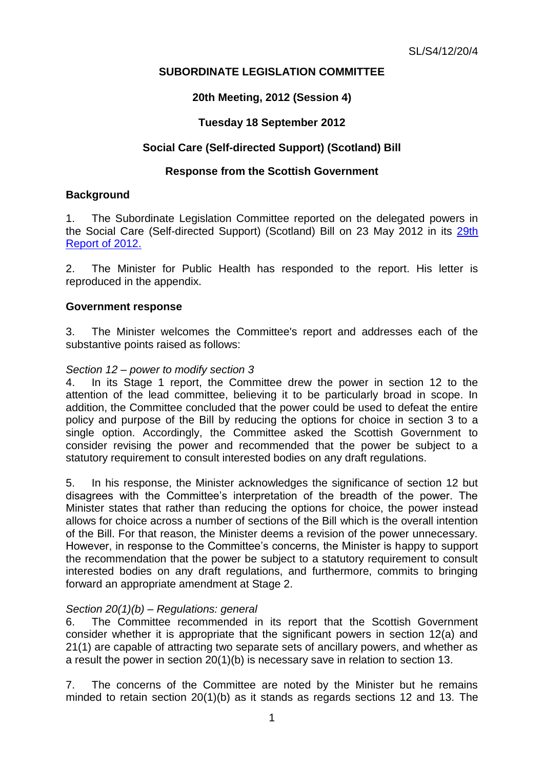# **SUBORDINATE LEGISLATION COMMITTEE**

## **20th Meeting, 2012 (Session 4)**

## **Tuesday 18 September 2012**

## **Social Care (Self-directed Support) (Scotland) Bill**

### **Response from the Scottish Government**

#### **Background**

1. The Subordinate Legislation Committee reported on the delegated powers in the Social Care (Self-directed Support) (Scotland) Bill on 23 May 2012 in its [29th](http://www.scottish.parliament.uk/S4_SubordinateLegislationCommittee/Reports/sur-12-29w.pdf)  [Report of 2012.](http://www.scottish.parliament.uk/S4_SubordinateLegislationCommittee/Reports/sur-12-29w.pdf)

2. The Minister for Public Health has responded to the report. His letter is reproduced in the appendix.

#### **Government response**

3. The Minister welcomes the Committee's report and addresses each of the substantive points raised as follows:

#### *Section 12 – power to modify section 3*

4. In its Stage 1 report, the Committee drew the power in section 12 to the attention of the lead committee, believing it to be particularly broad in scope. In addition, the Committee concluded that the power could be used to defeat the entire policy and purpose of the Bill by reducing the options for choice in section 3 to a single option. Accordingly, the Committee asked the Scottish Government to consider revising the power and recommended that the power be subject to a statutory requirement to consult interested bodies on any draft requilations.

5. In his response, the Minister acknowledges the significance of section 12 but disagrees with the Committee's interpretation of the breadth of the power. The Minister states that rather than reducing the options for choice, the power instead allows for choice across a number of sections of the Bill which is the overall intention of the Bill. For that reason, the Minister deems a revision of the power unnecessary. However, in response to the Committee's concerns, the Minister is happy to support the recommendation that the power be subject to a statutory requirement to consult interested bodies on any draft regulations, and furthermore, commits to bringing forward an appropriate amendment at Stage 2.

### *Section 20(1)(b) – Regulations: general*

6. The Committee recommended in its report that the Scottish Government consider whether it is appropriate that the significant powers in section 12(a) and 21(1) are capable of attracting two separate sets of ancillary powers, and whether as a result the power in section 20(1)(b) is necessary save in relation to section 13.

7. The concerns of the Committee are noted by the Minister but he remains minded to retain section 20(1)(b) as it stands as regards sections 12 and 13. The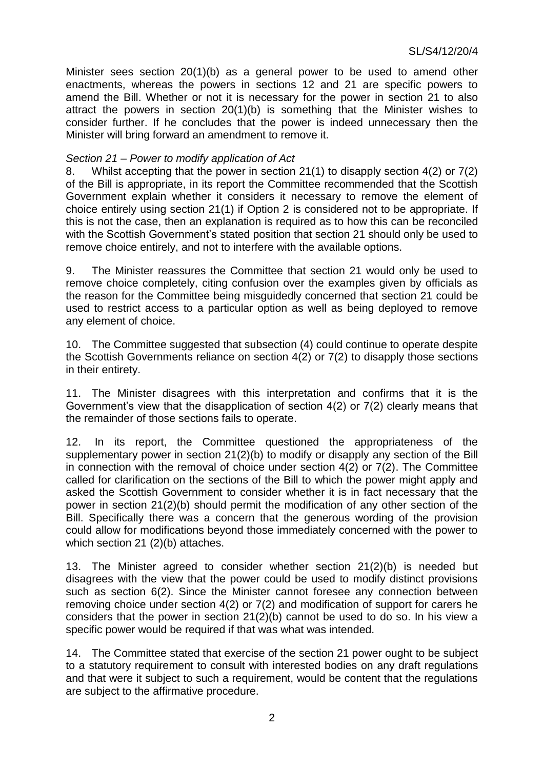Minister sees section 20(1)(b) as a general power to be used to amend other enactments, whereas the powers in sections 12 and 21 are specific powers to amend the Bill. Whether or not it is necessary for the power in section 21 to also attract the powers in section 20(1)(b) is something that the Minister wishes to consider further. If he concludes that the power is indeed unnecessary then the Minister will bring forward an amendment to remove it.

### *Section 21 – Power to modify application of Act*

8. Whilst accepting that the power in section 21(1) to disapply section 4(2) or 7(2) of the Bill is appropriate, in its report the Committee recommended that the Scottish Government explain whether it considers it necessary to remove the element of choice entirely using section 21(1) if Option 2 is considered not to be appropriate. If this is not the case, then an explanation is required as to how this can be reconciled with the Scottish Government's stated position that section 21 should only be used to remove choice entirely, and not to interfere with the available options.

9. The Minister reassures the Committee that section 21 would only be used to remove choice completely, citing confusion over the examples given by officials as the reason for the Committee being misguidedly concerned that section 21 could be used to restrict access to a particular option as well as being deployed to remove any element of choice.

10. The Committee suggested that subsection (4) could continue to operate despite the Scottish Governments reliance on section 4(2) or 7(2) to disapply those sections in their entirety.

11. The Minister disagrees with this interpretation and confirms that it is the Government's view that the disapplication of section 4(2) or 7(2) clearly means that the remainder of those sections fails to operate.

12. In its report, the Committee questioned the appropriateness of the supplementary power in section 21(2)(b) to modify or disapply any section of the Bill in connection with the removal of choice under section 4(2) or 7(2). The Committee called for clarification on the sections of the Bill to which the power might apply and asked the Scottish Government to consider whether it is in fact necessary that the power in section 21(2)(b) should permit the modification of any other section of the Bill. Specifically there was a concern that the generous wording of the provision could allow for modifications beyond those immediately concerned with the power to which section 21 (2)(b) attaches.

13. The Minister agreed to consider whether section 21(2)(b) is needed but disagrees with the view that the power could be used to modify distinct provisions such as section 6(2). Since the Minister cannot foresee any connection between removing choice under section 4(2) or 7(2) and modification of support for carers he considers that the power in section 21(2)(b) cannot be used to do so. In his view a specific power would be required if that was what was intended.

14. The Committee stated that exercise of the section 21 power ought to be subject to a statutory requirement to consult with interested bodies on any draft regulations and that were it subject to such a requirement, would be content that the regulations are subject to the affirmative procedure.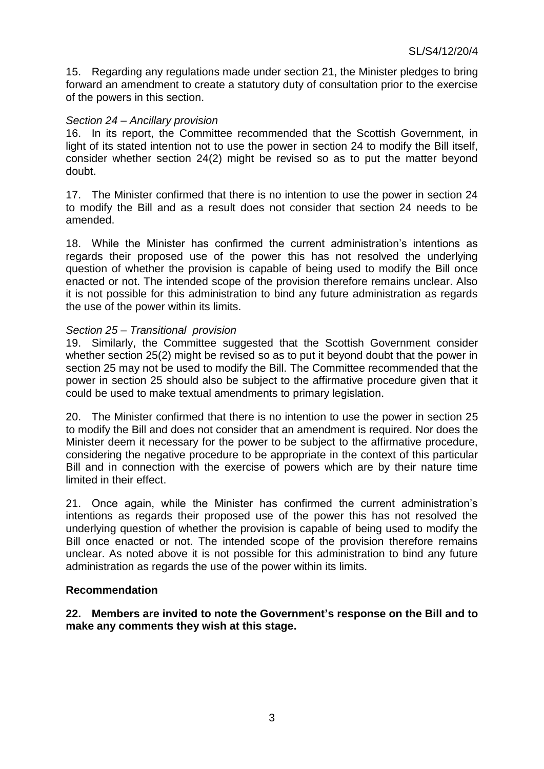15. Regarding any regulations made under section 21, the Minister pledges to bring forward an amendment to create a statutory duty of consultation prior to the exercise of the powers in this section.

### *Section 24 – Ancillary provision*

16. In its report, the Committee recommended that the Scottish Government, in light of its stated intention not to use the power in section 24 to modify the Bill itself, consider whether section 24(2) might be revised so as to put the matter beyond doubt.

17. The Minister confirmed that there is no intention to use the power in section 24 to modify the Bill and as a result does not consider that section 24 needs to be amended.

18. While the Minister has confirmed the current administration's intentions as regards their proposed use of the power this has not resolved the underlying question of whether the provision is capable of being used to modify the Bill once enacted or not. The intended scope of the provision therefore remains unclear. Also it is not possible for this administration to bind any future administration as regards the use of the power within its limits.

#### *Section 25 – Transitional provision*

19. Similarly, the Committee suggested that the Scottish Government consider whether section 25(2) might be revised so as to put it beyond doubt that the power in section 25 may not be used to modify the Bill. The Committee recommended that the power in section 25 should also be subject to the affirmative procedure given that it could be used to make textual amendments to primary legislation.

20. The Minister confirmed that there is no intention to use the power in section 25 to modify the Bill and does not consider that an amendment is required. Nor does the Minister deem it necessary for the power to be subject to the affirmative procedure, considering the negative procedure to be appropriate in the context of this particular Bill and in connection with the exercise of powers which are by their nature time limited in their effect.

21. Once again, while the Minister has confirmed the current administration's intentions as regards their proposed use of the power this has not resolved the underlying question of whether the provision is capable of being used to modify the Bill once enacted or not. The intended scope of the provision therefore remains unclear. As noted above it is not possible for this administration to bind any future administration as regards the use of the power within its limits.

#### **Recommendation**

**22. Members are invited to note the Government's response on the Bill and to make any comments they wish at this stage.**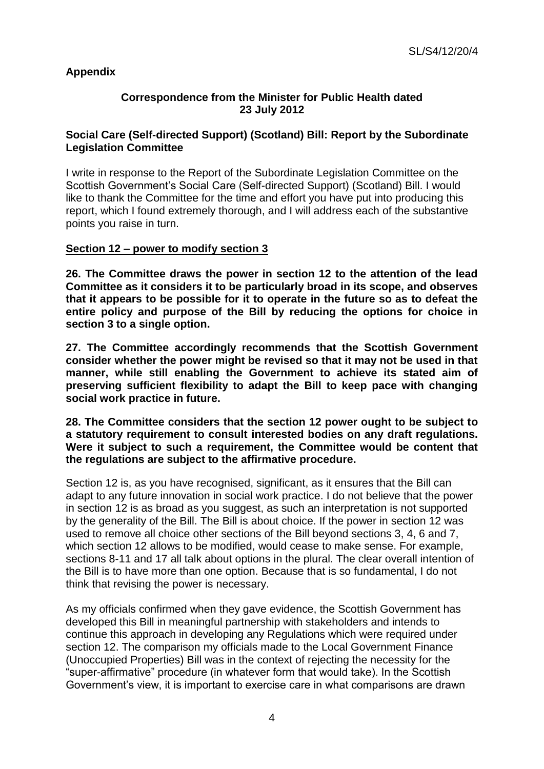# **Appendix**

## **Correspondence from the Minister for Public Health dated 23 July 2012**

## **Social Care (Self-directed Support) (Scotland) Bill: Report by the Subordinate Legislation Committee**

I write in response to the Report of the Subordinate Legislation Committee on the Scottish Government's Social Care (Self-directed Support) (Scotland) Bill. I would like to thank the Committee for the time and effort you have put into producing this report, which I found extremely thorough, and I will address each of the substantive points you raise in turn.

### **Section 12 – power to modify section 3**

**26. The Committee draws the power in section 12 to the attention of the lead Committee as it considers it to be particularly broad in its scope, and observes that it appears to be possible for it to operate in the future so as to defeat the entire policy and purpose of the Bill by reducing the options for choice in section 3 to a single option.**

**27. The Committee accordingly recommends that the Scottish Government consider whether the power might be revised so that it may not be used in that manner, while still enabling the Government to achieve its stated aim of preserving sufficient flexibility to adapt the Bill to keep pace with changing social work practice in future.**

**28. The Committee considers that the section 12 power ought to be subject to a statutory requirement to consult interested bodies on any draft regulations. Were it subject to such a requirement, the Committee would be content that the regulations are subject to the affirmative procedure.**

Section 12 is, as you have recognised, significant, as it ensures that the Bill can adapt to any future innovation in social work practice. I do not believe that the power in section 12 is as broad as you suggest, as such an interpretation is not supported by the generality of the Bill. The Bill is about choice. If the power in section 12 was used to remove all choice other sections of the Bill beyond sections 3, 4, 6 and 7, which section 12 allows to be modified, would cease to make sense. For example, sections 8-11 and 17 all talk about options in the plural. The clear overall intention of the Bill is to have more than one option. Because that is so fundamental, I do not think that revising the power is necessary.

As my officials confirmed when they gave evidence, the Scottish Government has developed this Bill in meaningful partnership with stakeholders and intends to continue this approach in developing any Regulations which were required under section 12. The comparison my officials made to the Local Government Finance (Unoccupied Properties) Bill was in the context of rejecting the necessity for the "super-affirmative" procedure (in whatever form that would take). In the Scottish Government's view, it is important to exercise care in what comparisons are drawn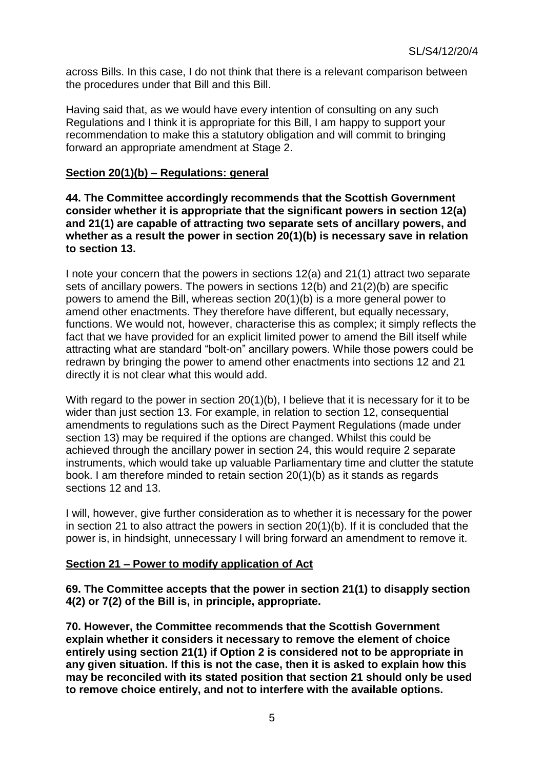across Bills. In this case, I do not think that there is a relevant comparison between the procedures under that Bill and this Bill.

Having said that, as we would have every intention of consulting on any such Regulations and I think it is appropriate for this Bill, I am happy to support your recommendation to make this a statutory obligation and will commit to bringing forward an appropriate amendment at Stage 2.

#### **Section 20(1)(b) – Regulations: general**

**44. The Committee accordingly recommends that the Scottish Government consider whether it is appropriate that the significant powers in section 12(a) and 21(1) are capable of attracting two separate sets of ancillary powers, and whether as a result the power in section 20(1)(b) is necessary save in relation to section 13.**

I note your concern that the powers in sections 12(a) and 21(1) attract two separate sets of ancillary powers. The powers in sections 12(b) and 21(2)(b) are specific powers to amend the Bill, whereas section 20(1)(b) is a more general power to amend other enactments. They therefore have different, but equally necessary, functions. We would not, however, characterise this as complex; it simply reflects the fact that we have provided for an explicit limited power to amend the Bill itself while attracting what are standard "bolt-on" ancillary powers. While those powers could be redrawn by bringing the power to amend other enactments into sections 12 and 21 directly it is not clear what this would add.

With regard to the power in section 20(1)(b), I believe that it is necessary for it to be wider than just section 13. For example, in relation to section 12, consequential amendments to regulations such as the Direct Payment Regulations (made under section 13) may be required if the options are changed. Whilst this could be achieved through the ancillary power in section 24, this would require 2 separate instruments, which would take up valuable Parliamentary time and clutter the statute book. I am therefore minded to retain section 20(1)(b) as it stands as regards sections 12 and 13.

I will, however, give further consideration as to whether it is necessary for the power in section 21 to also attract the powers in section 20(1)(b). If it is concluded that the power is, in hindsight, unnecessary I will bring forward an amendment to remove it.

### **Section 21 – Power to modify application of Act**

**69. The Committee accepts that the power in section 21(1) to disapply section 4(2) or 7(2) of the Bill is, in principle, appropriate.**

**70. However, the Committee recommends that the Scottish Government explain whether it considers it necessary to remove the element of choice entirely using section 21(1) if Option 2 is considered not to be appropriate in any given situation. If this is not the case, then it is asked to explain how this may be reconciled with its stated position that section 21 should only be used to remove choice entirely, and not to interfere with the available options.**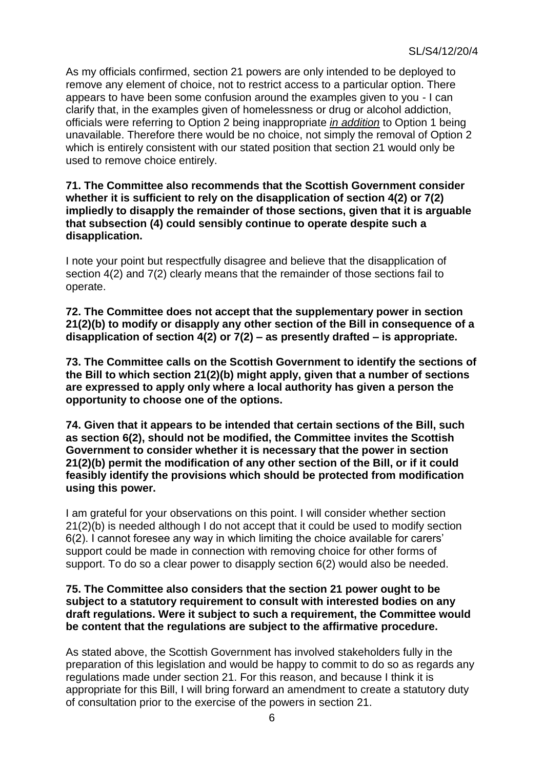As my officials confirmed, section 21 powers are only intended to be deployed to remove any element of choice, not to restrict access to a particular option. There appears to have been some confusion around the examples given to you - I can clarify that, in the examples given of homelessness or drug or alcohol addiction, officials were referring to Option 2 being inappropriate *in addition* to Option 1 being unavailable. Therefore there would be no choice, not simply the removal of Option 2 which is entirely consistent with our stated position that section 21 would only be used to remove choice entirely.

### **71. The Committee also recommends that the Scottish Government consider whether it is sufficient to rely on the disapplication of section 4(2) or 7(2) impliedly to disapply the remainder of those sections, given that it is arguable that subsection (4) could sensibly continue to operate despite such a disapplication.**

I note your point but respectfully disagree and believe that the disapplication of section 4(2) and 7(2) clearly means that the remainder of those sections fail to operate.

**72. The Committee does not accept that the supplementary power in section 21(2)(b) to modify or disapply any other section of the Bill in consequence of a disapplication of section 4(2) or 7(2) – as presently drafted – is appropriate.**

**73. The Committee calls on the Scottish Government to identify the sections of the Bill to which section 21(2)(b) might apply, given that a number of sections are expressed to apply only where a local authority has given a person the opportunity to choose one of the options.**

**74. Given that it appears to be intended that certain sections of the Bill, such as section 6(2), should not be modified, the Committee invites the Scottish Government to consider whether it is necessary that the power in section 21(2)(b) permit the modification of any other section of the Bill, or if it could feasibly identify the provisions which should be protected from modification using this power.**

I am grateful for your observations on this point. I will consider whether section 21(2)(b) is needed although I do not accept that it could be used to modify section 6(2). I cannot foresee any way in which limiting the choice available for carers' support could be made in connection with removing choice for other forms of support. To do so a clear power to disapply section 6(2) would also be needed.

### **75. The Committee also considers that the section 21 power ought to be subject to a statutory requirement to consult with interested bodies on any draft regulations. Were it subject to such a requirement, the Committee would be content that the regulations are subject to the affirmative procedure.**

As stated above, the Scottish Government has involved stakeholders fully in the preparation of this legislation and would be happy to commit to do so as regards any regulations made under section 21. For this reason, and because I think it is appropriate for this Bill, I will bring forward an amendment to create a statutory duty of consultation prior to the exercise of the powers in section 21.